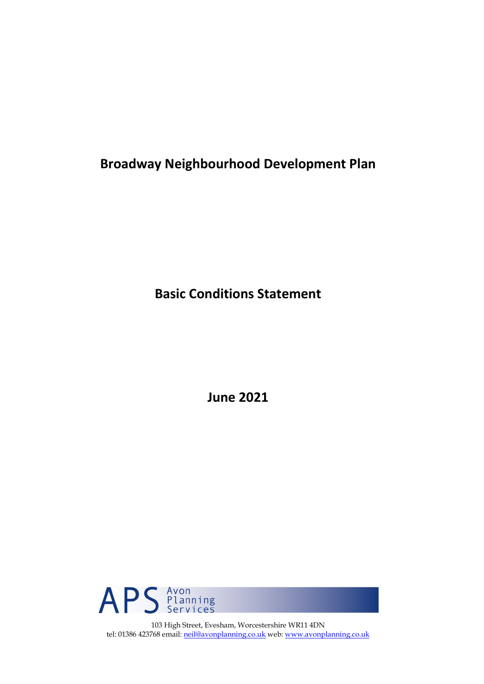**Broadway Neighbourhood Development Plan**

**Basic Conditions Statement**

**June 2021**



103 High Street, Evesham, Worcestershire WR11 4DN tel: 01386 423768 email: [neil@avonplanning.co.uk](mailto:neil@avonplanning.co.uk) web: [www.avonplanning.co.uk](http://www.avonplanning.co.uk/)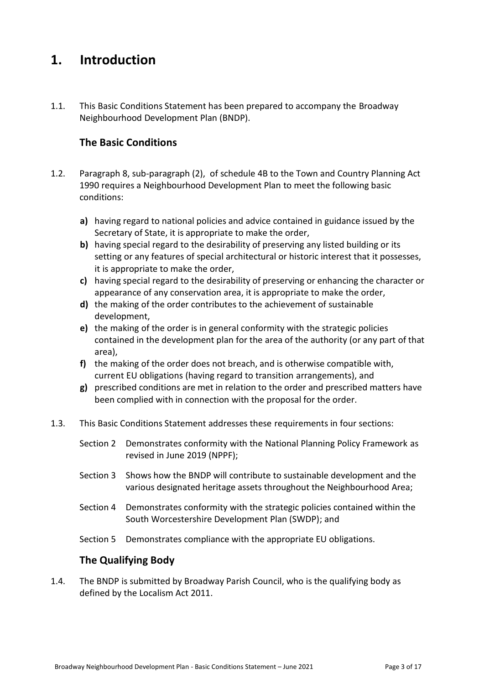# **1. Introduction**

1.1. This Basic Conditions Statement has been prepared to accompany the Broadway Neighbourhood Development Plan (BNDP).

# **The Basic Conditions**

- 1.2. Paragraph 8, sub-paragraph (2), of schedule 4B to the Town and Country Planning Act 1990 requires a Neighbourhood Development Plan to meet the following basic conditions:
	- **a)** having regard to national policies and advice contained in guidance issued by the Secretary of State, it is appropriate to make the order,
	- **b)** having special regard to the desirability of preserving any listed building or its setting or any features of special architectural or historic interest that it possesses, it is appropriate to make the order,
	- **c)** having special regard to the desirability of preserving or enhancing the character or appearance of any conservation area, it is appropriate to make the order,
	- **d)** the making of the order contributes to the achievement of sustainable development,
	- **e)** the making of the order is in general conformity with the strategic policies contained in the development plan for the area of the authority (or any part of that area),
	- **f)** the making of the order does not breach, and is otherwise compatible with, current EU obligations (having regard to transition arrangements), and
	- **g)** prescribed conditions are met in relation to the order and prescribed matters have been complied with in connection with the proposal for the order.
- 1.3. This Basic Conditions Statement addresses these requirements in four sections:
	- Section 2 Demonstrates conformity with the National Planning Policy Framework as revised in June 2019 (NPPF);
	- Section 3 Shows how the BNDP will contribute to sustainable development and the various designated heritage assets throughout the Neighbourhood Area;
	- Section 4 Demonstrates conformity with the strategic policies contained within the South Worcestershire Development Plan (SWDP); and
	- Section 5 Demonstrates compliance with the appropriate EU obligations.

# **The Qualifying Body**

1.4. The BNDP is submitted by Broadway Parish Council, who is the qualifying body as defined by the Localism Act 2011.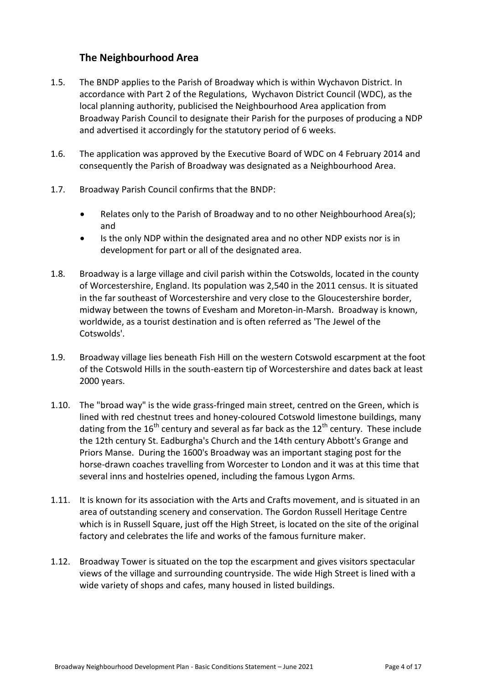# **The Neighbourhood Area**

- 1.5. The BNDP applies to the Parish of Broadway which is within Wychavon District. In accordance with Part 2 of the Regulations, Wychavon District Council (WDC), as the local planning authority, publicised the Neighbourhood Area application from Broadway Parish Council to designate their Parish for the purposes of producing a NDP and advertised it accordingly for the statutory period of 6 weeks.
- 1.6. The application was approved by the Executive Board of WDC on 4 February 2014 and consequently the Parish of Broadway was designated as a Neighbourhood Area.
- 1.7. Broadway Parish Council confirms that the BNDP:
	- Relates only to the Parish of Broadway and to no other Neighbourhood Area(s); and
	- Is the only NDP within the designated area and no other NDP exists nor is in development for part or all of the designated area.
- 1.8. Broadway is a large village and [civil parish](https://en.wikipedia.org/wiki/Civil_parishes_in_England) within the [Cotswolds,](https://en.wikipedia.org/wiki/Cotswolds) located in the county of [Worcestershire,](https://en.wikipedia.org/wiki/Worcestershire) England. Its population was 2,540 in the 2011 census. It is situated in the far southeast of Worcestershire and very close to the [Gloucestershire](https://en.wikipedia.org/wiki/Gloucestershire) border, midway between the towns of [Evesham](https://en.wikipedia.org/wiki/Evesham) and [Moreton-in-Marsh.](https://en.wikipedia.org/wiki/Moreton-in-Marsh) Broadway is known, worldwide, as a tourist destination and is often referred as 'The Jewel of the Cotswolds'.
- 1.9. Broadway village lies beneath [Fish Hill](https://en.wikipedia.org/w/index.php?title=Fish_Hill&action=edit&redlink=1) on the western Cotswold [escarpment](https://en.wikipedia.org/wiki/Escarpment) at the foot of the Cotswold Hills in the south-eastern tip of Worcestershire and dates back at least 2000 years.
- 1.10. The "broad way" is the wide grass-fringed main street, centred on the Green, which is lined with red [chestnut](https://en.wikipedia.org/wiki/Chestnut) trees and honey-coloured [Cotswold limestone](https://en.wikipedia.org/wiki/Cotswold_stone) buildings, many dating from the  $16<sup>th</sup>$  century and several as far back as the  $12<sup>th</sup>$  century. These include the 12th century St. Eadburgha's Church and the 14th century Abbott's Grange and Priors Manse. During the 1600's Broadway was an important staging post for the horse-drawn coaches travelling from Worcester to London and it was at this time that several inns and hostelries opened, including the famous Lygon Arms.
- 1.11. It is known for its association with the [Arts and Crafts movement,](https://en.wikipedia.org/wiki/Arts_and_Crafts_movement) and is situated in an area of outstanding scenery and conservation. The Gordon Russell Heritage Centre which is in Russell Square, just off the High Street, is located on the site of the original factory and celebrates the life and works of the famous furniture maker.
- 1.12. Broadway Tower is situated on the top the escarpment and gives visitors spectacular views of the village and surrounding countryside. The wide High Street is lined with a wide variety of shops and cafes, many housed in listed buildings.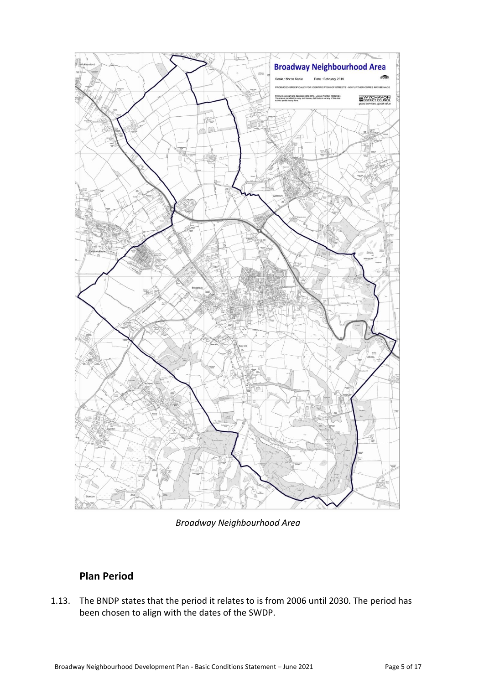

*Broadway Neighbourhood Area*

# **Plan Period**

1.13. The BNDP states that the period it relates to is from 2006 until 2030. The period has been chosen to align with the dates of the SWDP.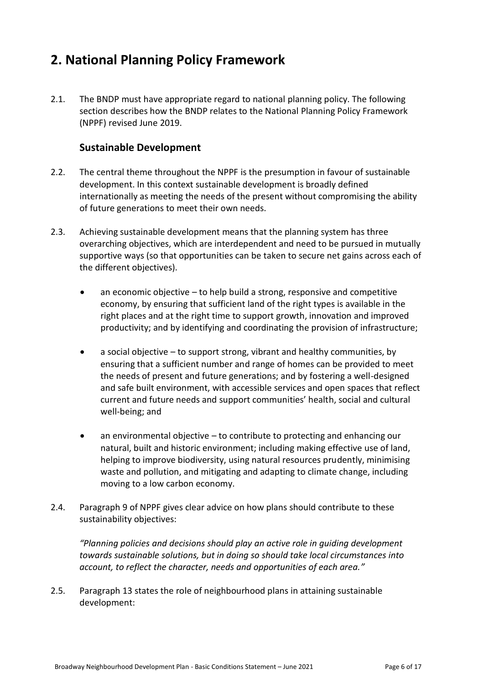# **2. National Planning Policy Framework**

2.1. The BNDP must have appropriate regard to national planning policy. The following section describes how the BNDP relates to the National Planning Policy Framework (NPPF) revised June 2019.

### **Sustainable Development**

- 2.2. The central theme throughout the NPPF is the presumption in favour of sustainable development. In this context sustainable development is broadly defined internationally as meeting the needs of the present without compromising the ability of future generations to meet their own needs.
- 2.3. Achieving sustainable development means that the planning system has three overarching objectives, which are interdependent and need to be pursued in mutually supportive ways (so that opportunities can be taken to secure net gains across each of the different objectives).
	- an economic objective to help build a strong, responsive and competitive economy, by ensuring that sufficient land of the right types is available in the right places and at the right time to support growth, innovation and improved productivity; and by identifying and coordinating the provision of infrastructure;
	- a social objective to support strong, vibrant and healthy communities, by ensuring that a sufficient number and range of homes can be provided to meet the needs of present and future generations; and by fostering a well-designed and safe built environment, with accessible services and open spaces that reflect current and future needs and support communities' health, social and cultural well-being; and
	- an environmental objective to contribute to protecting and enhancing our natural, built and historic environment; including making effective use of land, helping to improve biodiversity, using natural resources prudently, minimising waste and pollution, and mitigating and adapting to climate change, including moving to a low carbon economy.
- 2.4. Paragraph 9 of NPPF gives clear advice on how plans should contribute to these sustainability objectives:

*"Planning policies and decisions should play an active role in guiding development towards sustainable solutions, but in doing so should take local circumstances into account, to reflect the character, needs and opportunities of each area."*

2.5. Paragraph 13 states the role of neighbourhood plans in attaining sustainable development: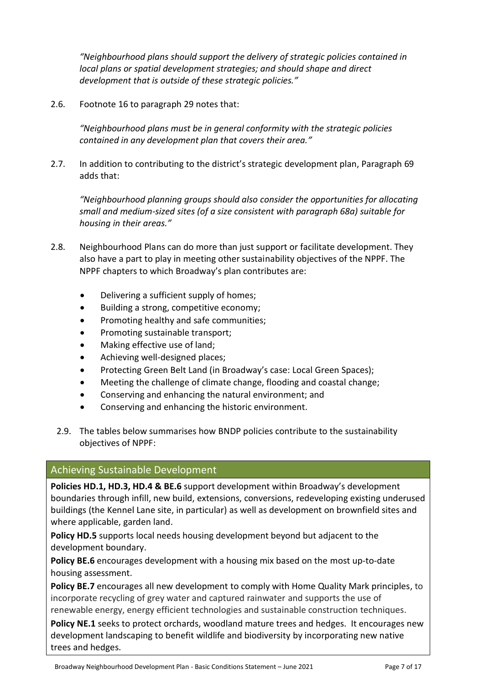*"Neighbourhood plans should support the delivery of strategic policies contained in local plans or spatial development strategies; and should shape and direct development that is outside of these strategic policies."*

2.6. Footnote 16 to paragraph 29 notes that:

*"Neighbourhood plans must be in general conformity with the strategic policies contained in any development plan that covers their area."*

2.7. In addition to contributing to the district's strategic development plan, Paragraph 69 adds that:

*"Neighbourhood planning groups should also consider the opportunities for allocating small and medium-sized sites (of a size consistent with paragraph 68a) suitable for housing in their areas."*

- 2.8. Neighbourhood Plans can do more than just support or facilitate development. They also have a part to play in meeting other sustainability objectives of the NPPF. The NPPF chapters to which Broadway's plan contributes are:
	- Delivering a sufficient supply of homes;
	- Building a strong, competitive economy;
	- Promoting healthy and safe communities;
	- Promoting sustainable transport;
	- Making effective use of land;
	- Achieving well-designed places;
	- Protecting Green Belt Land (in Broadway's case: Local Green Spaces);
	- Meeting the challenge of climate change, flooding and coastal change;
	- Conserving and enhancing the natural environment; and
	- Conserving and enhancing the historic environment.
	- 2.9. The tables below summarises how BNDP policies contribute to the sustainability objectives of NPPF:

### Achieving Sustainable Development

**Policies HD.1, HD.3, HD.4 & BE.6** support development within Broadway's development boundaries through infill, new build, extensions, conversions, redeveloping existing underused buildings (the Kennel Lane site, in particular) as well as development on brownfield sites and where applicable, garden land.

**Policy HD.5** supports local needs housing development beyond but adjacent to the development boundary.

**Policy BE.6** encourages development with a housing mix based on the most up-to-date housing assessment.

**Policy BE.7** encourages all new development to comply with Home Quality Mark principles, to incorporate recycling of grey water and captured rainwater and supports the use of renewable energy, energy efficient technologies and sustainable construction techniques.

**Policy NE.1** seeks to protect orchards, woodland mature trees and hedges. It encourages new development landscaping to benefit wildlife and biodiversity by incorporating new native trees and hedges.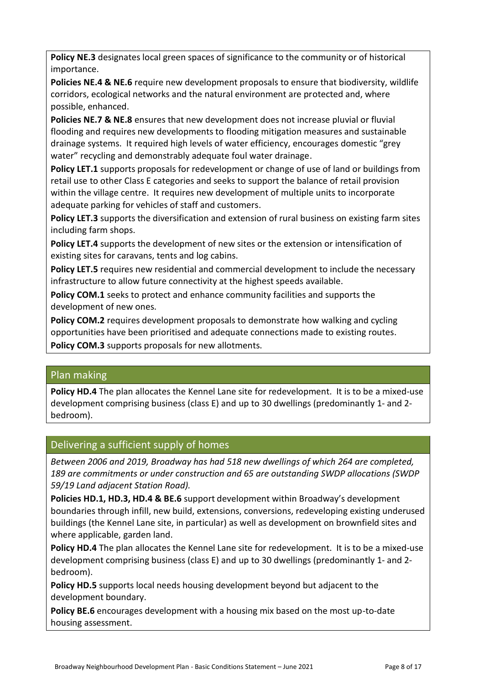**Policy NE.3** designates local green spaces of significance to the community or of historical importance.

**Policies NE.4 & NE.6** require new development proposals to ensure that biodiversity, wildlife corridors, ecological networks and the natural environment are protected and, where possible, enhanced.

**Policies NE.7 & NE.8** ensures that new development does not increase pluvial or fluvial flooding and requires new developments to flooding mitigation measures and sustainable drainage systems. It required high levels of water efficiency, encourages domestic "grey water" recycling and demonstrably adequate foul water drainage.

**Policy LET.1** supports proposals for redevelopment or change of use of land or buildings from retail use to other Class E categories and seeks to support the balance of retail provision within the village centre. It requires new development of multiple units to incorporate adequate parking for vehicles of staff and customers.

**Policy LET.3** supports the diversification and extension of rural business on existing farm sites including farm shops.

**Policy LET.4** supports the development of new sites or the extension or intensification of existing sites for caravans, tents and log cabins.

**Policy LET.5** requires new residential and commercial development to include the necessary infrastructure to allow future connectivity at the highest speeds available.

Policy COM.1 seeks to protect and enhance community facilities and supports the development of new ones.

**Policy COM.2** requires development proposals to demonstrate how walking and cycling opportunities have been prioritised and adequate connections made to existing routes. **Policy COM.3** supports proposals for new allotments.

# Plan making

**Policy HD.4** The plan allocates the Kennel Lane site for redevelopment. It is to be a mixed-use development comprising business (class E) and up to 30 dwellings (predominantly 1- and 2 bedroom).

# Delivering a sufficient supply of homes

*Between 2006 and 2019, Broadway has had 518 new dwellings of which 264 are completed, 189 are commitments or under construction and 65 are outstanding SWDP allocations (SWDP 59/19 Land adjacent Station Road).*

**Policies HD.1, HD.3, HD.4 & BE.6** support development within Broadway's development boundaries through infill, new build, extensions, conversions, redeveloping existing underused buildings (the Kennel Lane site, in particular) as well as development on brownfield sites and where applicable, garden land.

**Policy HD.4** The plan allocates the Kennel Lane site for redevelopment. It is to be a mixed-use development comprising business (class E) and up to 30 dwellings (predominantly 1- and 2 bedroom).

**Policy HD.5** supports local needs housing development beyond but adjacent to the development boundary.

**Policy BE.6** encourages development with a housing mix based on the most up-to-date housing assessment.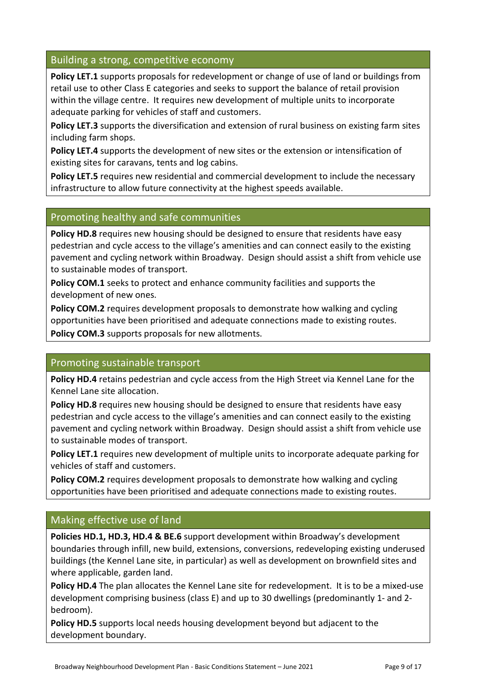### Building a strong, competitive economy

**Policy LET.1** supports proposals for redevelopment or change of use of land or buildings from retail use to other Class E categories and seeks to support the balance of retail provision within the village centre. It requires new development of multiple units to incorporate adequate parking for vehicles of staff and customers.

**Policy LET.3** supports the diversification and extension of rural business on existing farm sites including farm shops.

**Policy LET.4** supports the development of new sites or the extension or intensification of existing sites for caravans, tents and log cabins.

**Policy LET.5** requires new residential and commercial development to include the necessary infrastructure to allow future connectivity at the highest speeds available.

### Promoting healthy and safe communities

**Policy HD.8** requires new housing should be designed to ensure that residents have easy pedestrian and cycle access to the village's amenities and can connect easily to the existing pavement and cycling network within Broadway. Design should assist a shift from vehicle use to sustainable modes of transport.

**Policy COM.1** seeks to protect and enhance community facilities and supports the development of new ones.

**Policy COM.2** requires development proposals to demonstrate how walking and cycling opportunities have been prioritised and adequate connections made to existing routes. **Policy COM.3** supports proposals for new allotments.

### Promoting sustainable transport

**Policy HD.4** retains pedestrian and cycle access from the High Street via Kennel Lane for the Kennel Lane site allocation.

**Policy HD.8** requires new housing should be designed to ensure that residents have easy pedestrian and cycle access to the village's amenities and can connect easily to the existing pavement and cycling network within Broadway. Design should assist a shift from vehicle use to sustainable modes of transport.

**Policy LET.1** requires new development of multiple units to incorporate adequate parking for vehicles of staff and customers.

**Policy COM.2** requires development proposals to demonstrate how walking and cycling opportunities have been prioritised and adequate connections made to existing routes.

# Making effective use of land

**Policies HD.1, HD.3, HD.4 & BE.6** support development within Broadway's development boundaries through infill, new build, extensions, conversions, redeveloping existing underused buildings (the Kennel Lane site, in particular) as well as development on brownfield sites and where applicable, garden land.

**Policy HD.4** The plan allocates the Kennel Lane site for redevelopment. It is to be a mixed-use development comprising business (class E) and up to 30 dwellings (predominantly 1- and 2 bedroom).

**Policy HD.5** supports local needs housing development beyond but adjacent to the development boundary.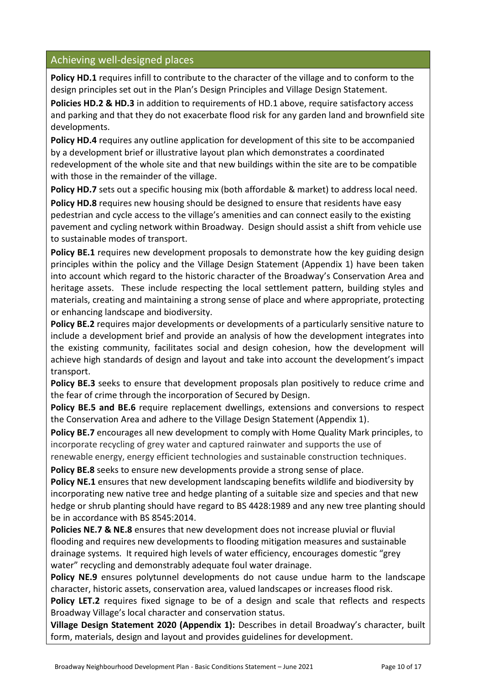# Achieving well-designed places

**Policy HD.1** requires infill to contribute to the character of the village and to conform to the design principles set out in the Plan's Design Principles and Village Design Statement.

**Policies HD.2 & HD.3** in addition to requirements of HD.1 above, require satisfactory access and parking and that they do not exacerbate flood risk for any garden land and brownfield site developments.

**Policy HD.4** requires any outline application for development of this site to be accompanied by a development brief or illustrative layout plan which demonstrates a coordinated redevelopment of the whole site and that new buildings within the site are to be compatible with those in the remainder of the village.

Policy HD.7 sets out a specific housing mix (both affordable & market) to address local need. **Policy HD.8** requires new housing should be designed to ensure that residents have easy pedestrian and cycle access to the village's amenities and can connect easily to the existing pavement and cycling network within Broadway. Design should assist a shift from vehicle use to sustainable modes of transport.

Policy BE.1 requires new development proposals to demonstrate how the key guiding design principles within the policy and the Village Design Statement (Appendix 1) have been taken into account which regard to the historic character of the Broadway's Conservation Area and heritage assets. These include respecting the local settlement pattern, building styles and materials, creating and maintaining a strong sense of place and where appropriate, protecting or enhancing landscape and biodiversity.

**Policy BE.2** requires major developments or developments of a particularly sensitive nature to include a development brief and provide an analysis of how the development integrates into the existing community, facilitates social and design cohesion, how the development will achieve high standards of design and layout and take into account the development's impact transport.

**Policy BE.3** seeks to ensure that development proposals plan positively to reduce crime and the fear of crime through the incorporation of Secured by Design.

**Policy BE.5 and BE.6** require replacement dwellings, extensions and conversions to respect the Conservation Area and adhere to the Village Design Statement (Appendix 1).

**Policy BE.7** encourages all new development to comply with Home Quality Mark principles, to incorporate recycling of grey water and captured rainwater and supports the use of

renewable energy, energy efficient technologies and sustainable construction techniques.

**Policy BE.8** seeks to ensure new developments provide a strong sense of place.

**Policy NE.1** ensures that new development landscaping benefits wildlife and biodiversity by incorporating new native tree and hedge planting of a suitable size and species and that new hedge or shrub planting should have regard to BS 4428:1989 and any new tree planting should be in accordance with BS 8545:2014.

**Policies NE.7 & NE.8** ensures that new development does not increase pluvial or fluvial flooding and requires new developments to flooding mitigation measures and sustainable drainage systems. It required high levels of water efficiency, encourages domestic "grey water" recycling and demonstrably adequate foul water drainage.

**Policy NE.9** ensures polytunnel developments do not cause undue harm to the landscape character, historic assets, conservation area, valued landscapes or increases flood risk.

**Policy LET.2** requires fixed signage to be of a design and scale that reflects and respects Broadway Village's local character and conservation status.

**Village Design Statement 2020 (Appendix 1):** Describes in detail Broadway's character, built form, materials, design and layout and provides guidelines for development.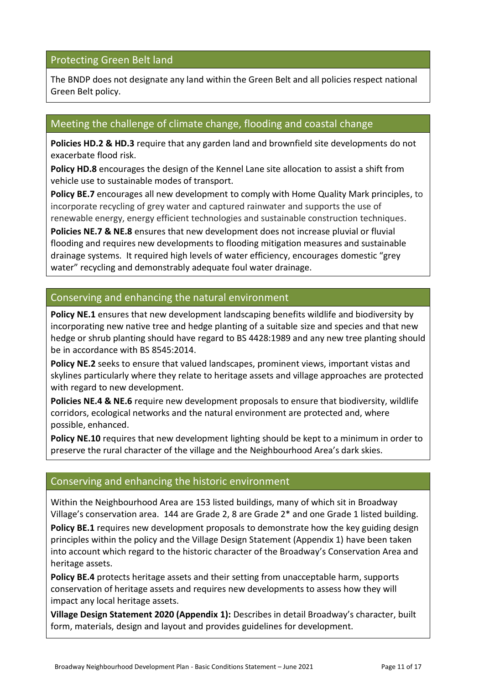# Protecting Green Belt land

The BNDP does not designate any land within the Green Belt and all policies respect national Green Belt policy.

# Meeting the challenge of climate change, flooding and coastal change

**Policies HD.2 & HD.3** require that any garden land and brownfield site developments do not exacerbate flood risk.

**Policy HD.8** encourages the design of the Kennel Lane site allocation to assist a shift from vehicle use to sustainable modes of transport.

**Policy BE.7** encourages all new development to comply with Home Quality Mark principles, to incorporate recycling of grey water and captured rainwater and supports the use of renewable energy, energy efficient technologies and sustainable construction techniques.

**Policies NE.7 & NE.8** ensures that new development does not increase pluvial or fluvial flooding and requires new developments to flooding mitigation measures and sustainable drainage systems. It required high levels of water efficiency, encourages domestic "grey water" recycling and demonstrably adequate foul water drainage.

# Conserving and enhancing the natural environment

Policy NE.1 ensures that new development landscaping benefits wildlife and biodiversity by incorporating new native tree and hedge planting of a suitable size and species and that new hedge or shrub planting should have regard to BS 4428:1989 and any new tree planting should be in accordance with BS 8545:2014.

**Policy NE.2** seeks to ensure that valued landscapes, prominent views, important vistas and skylines particularly where they relate to heritage assets and village approaches are protected with regard to new development.

**Policies NE.4 & NE.6** require new development proposals to ensure that biodiversity, wildlife corridors, ecological networks and the natural environment are protected and, where possible, enhanced.

**Policy NE.10** requires that new development lighting should be kept to a minimum in order to preserve the rural character of the village and the Neighbourhood Area's dark skies.

# Conserving and enhancing the historic environment

Within the Neighbourhood Area are 153 listed buildings, many of which sit in Broadway Village's conservation area. 144 are Grade 2, 8 are Grade 2\* and one Grade 1 listed building.

Policy BE.1 requires new development proposals to demonstrate how the key guiding design principles within the policy and the Village Design Statement (Appendix 1) have been taken into account which regard to the historic character of the Broadway's Conservation Area and heritage assets.

**Policy BE.4** protects heritage assets and their setting from unacceptable harm, supports conservation of heritage assets and requires new developments to assess how they will impact any local heritage assets.

**Village Design Statement 2020 (Appendix 1):** Describes in detail Broadway's character, built form, materials, design and layout and provides guidelines for development.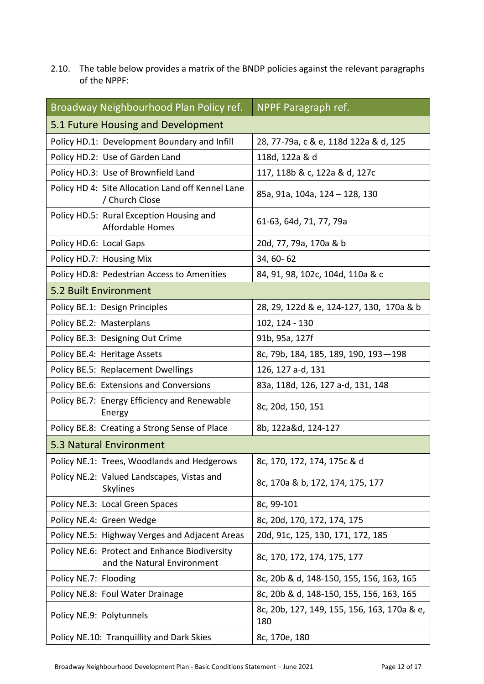2.10. The table below provides a matrix of the BNDP policies against the relevant paragraphs of the NPPF:

| Broadway Neighbourhood Plan Policy ref.                                      | NPPF Paragraph ref.                                |  |
|------------------------------------------------------------------------------|----------------------------------------------------|--|
| 5.1 Future Housing and Development                                           |                                                    |  |
| Policy HD.1: Development Boundary and Infill                                 | 28, 77-79a, c & e, 118d 122a & d, 125              |  |
| Policy HD.2: Use of Garden Land                                              | 118d, 122a & d                                     |  |
| Policy HD.3: Use of Brownfield Land                                          | 117, 118b & c, 122a & d, 127c                      |  |
| Policy HD 4: Site Allocation Land off Kennel Lane<br>/ Church Close          | 85a, 91a, 104a, 124 - 128, 130                     |  |
| Policy HD.5: Rural Exception Housing and<br><b>Affordable Homes</b>          | 61-63, 64d, 71, 77, 79a                            |  |
| Policy HD.6: Local Gaps                                                      | 20d, 77, 79a, 170a & b                             |  |
| Policy HD.7: Housing Mix                                                     | 34, 60-62                                          |  |
| Policy HD.8: Pedestrian Access to Amenities                                  | 84, 91, 98, 102c, 104d, 110a & c                   |  |
| <b>5.2 Built Environment</b>                                                 |                                                    |  |
| Policy BE.1: Design Principles                                               | 28, 29, 122d & e, 124-127, 130, 170a & b           |  |
| Policy BE.2: Masterplans                                                     | 102, 124 - 130                                     |  |
| Policy BE.3: Designing Out Crime                                             | 91b, 95a, 127f                                     |  |
| Policy BE.4: Heritage Assets                                                 | 8c, 79b, 184, 185, 189, 190, 193-198               |  |
| Policy BE.5: Replacement Dwellings                                           | 126, 127 a-d, 131                                  |  |
| Policy BE.6: Extensions and Conversions                                      | 83a, 118d, 126, 127 a-d, 131, 148                  |  |
| Policy BE.7: Energy Efficiency and Renewable<br>Energy                       | 8c, 20d, 150, 151                                  |  |
| Policy BE.8: Creating a Strong Sense of Place                                | 8b, 122a&d, 124-127                                |  |
| 5.3 Natural Environment                                                      |                                                    |  |
| Policy NE.1: Trees, Woodlands and Hedgerows                                  | 8c, 170, 172, 174, 175c & d                        |  |
| Policy NE.2: Valued Landscapes, Vistas and<br>Skylines                       | 8c, 170a & b, 172, 174, 175, 177                   |  |
| Policy NE.3: Local Green Spaces                                              | 8c, 99-101                                         |  |
| Policy NE.4: Green Wedge                                                     | 8c, 20d, 170, 172, 174, 175                        |  |
| Policy NE.5: Highway Verges and Adjacent Areas                               | 20d, 91c, 125, 130, 171, 172, 185                  |  |
| Policy NE.6: Protect and Enhance Biodiversity<br>and the Natural Environment | 8c, 170, 172, 174, 175, 177                        |  |
| Policy NE.7: Flooding                                                        | 8c, 20b & d, 148-150, 155, 156, 163, 165           |  |
| Policy NE.8: Foul Water Drainage                                             | 8c, 20b & d, 148-150, 155, 156, 163, 165           |  |
| Policy NE.9: Polytunnels                                                     | 8c, 20b, 127, 149, 155, 156, 163, 170a & e,<br>180 |  |
| Policy NE.10: Tranquillity and Dark Skies                                    | 8c, 170e, 180                                      |  |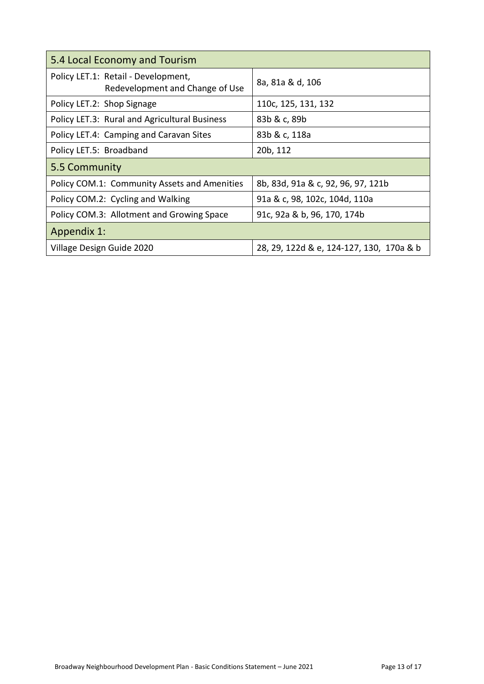| 5.4 Local Economy and Tourism                                          |                                          |  |
|------------------------------------------------------------------------|------------------------------------------|--|
| Policy LET.1: Retail - Development,<br>Redevelopment and Change of Use | 8a, 81a & d, 106                         |  |
| Policy LET.2: Shop Signage                                             | 110c, 125, 131, 132                      |  |
| Policy LET.3: Rural and Agricultural Business                          | 83b & c, 89b                             |  |
| Policy LET.4: Camping and Caravan Sites                                | 83b & c, 118a                            |  |
| Policy LET.5: Broadband                                                | 20b, 112                                 |  |
| 5.5 Community                                                          |                                          |  |
| Policy COM.1: Community Assets and Amenities                           | 8b, 83d, 91a & c, 92, 96, 97, 121b       |  |
| Policy COM.2: Cycling and Walking                                      | 91a & c, 98, 102c, 104d, 110a            |  |
| Policy COM.3: Allotment and Growing Space                              | 91c, 92a & b, 96, 170, 174b              |  |
| <b>Appendix 1:</b>                                                     |                                          |  |
| Village Design Guide 2020                                              | 28, 29, 122d & e, 124-127, 130, 170a & b |  |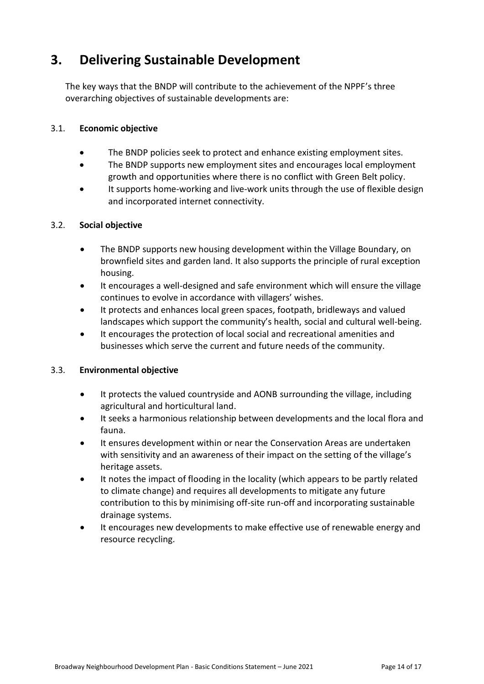# **3. Delivering Sustainable Development**

The key ways that the BNDP will contribute to the achievement of the NPPF's three overarching objectives of sustainable developments are:

#### 3.1. **Economic objective**

- The BNDP policies seek to protect and enhance existing employment sites.
- The BNDP supports new employment sites and encourages local employment growth and opportunities where there is no conflict with Green Belt policy.
- It supports home-working and live-work units through the use of flexible design and incorporated internet connectivity.

#### 3.2. **Social objective**

- The BNDP supports new housing development within the Village Boundary, on brownfield sites and garden land. It also supports the principle of rural exception housing.
- It encourages a well-designed and safe environment which will ensure the village continues to evolve in accordance with villagers' wishes.
- It protects and enhances local green spaces, footpath, bridleways and valued landscapes which support the community's health, social and cultural well-being.
- It encourages the protection of local social and recreational amenities and businesses which serve the current and future needs of the community.

### 3.3. **Environmental objective**

- It protects the valued countryside and AONB surrounding the village, including agricultural and horticultural land.
- It seeks a harmonious relationship between developments and the local flora and fauna.
- It ensures development within or near the Conservation Areas are undertaken with sensitivity and an awareness of their impact on the setting of the village's heritage assets.
- It notes the impact of flooding in the locality (which appears to be partly related to climate change) and requires all developments to mitigate any future contribution to this by minimising off-site run-off and incorporating sustainable drainage systems.
- It encourages new developments to make effective use of renewable energy and resource recycling.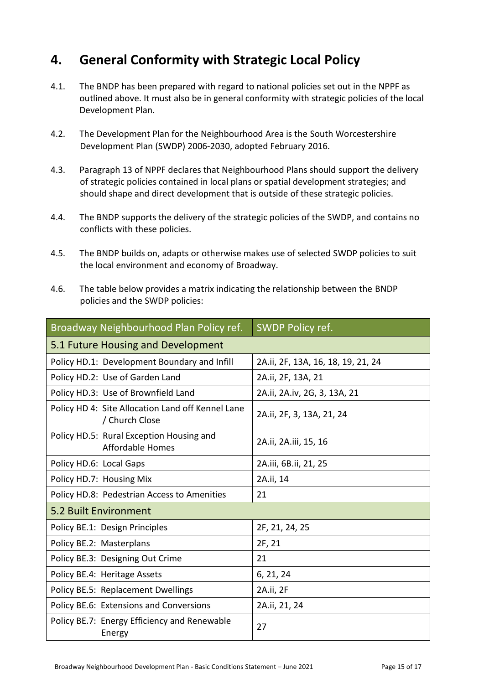# **4. General Conformity with Strategic Local Policy**

- 4.1. The BNDP has been prepared with regard to national policies set out in the NPPF as outlined above. It must also be in general conformity with strategic policies of the local Development Plan.
- 4.2. The Development Plan for the Neighbourhood Area is the South Worcestershire Development Plan (SWDP) 2006-2030, adopted February 2016.
- 4.3. Paragraph 13 of NPPF declares that Neighbourhood Plans should support the delivery of strategic policies contained in local plans or spatial development strategies; and should shape and direct development that is outside of these strategic policies.
- 4.4. The BNDP supports the delivery of the strategic policies of the SWDP, and contains no conflicts with these policies.
- 4.5. The BNDP builds on, adapts or otherwise makes use of selected SWDP policies to suit the local environment and economy of Broadway.
- 4.6. The table below provides a matrix indicating the relationship between the BNDP policies and the SWDP policies:

| Broadway Neighbourhood Plan Policy ref.                             | SWDP Policy ref.                   |  |
|---------------------------------------------------------------------|------------------------------------|--|
| 5.1 Future Housing and Development                                  |                                    |  |
| Policy HD.1: Development Boundary and Infill                        | 2A.ii, 2F, 13A, 16, 18, 19, 21, 24 |  |
| Policy HD.2: Use of Garden Land                                     | 2A.ii, 2F, 13A, 21                 |  |
| Policy HD.3: Use of Brownfield Land                                 | 2A.ii, 2A.iv, 2G, 3, 13A, 21       |  |
| Policy HD 4: Site Allocation Land off Kennel Lane<br>/ Church Close | 2A.ii, 2F, 3, 13A, 21, 24          |  |
| Policy HD.5: Rural Exception Housing and<br><b>Affordable Homes</b> | 2A.ii, 2A.iii, 15, 16              |  |
| Policy HD.6: Local Gaps                                             | 2A.iii, 6B.ii, 21, 25              |  |
| Policy HD.7: Housing Mix                                            | 2A.ii, 14                          |  |
| Policy HD.8: Pedestrian Access to Amenities                         | 21                                 |  |
| 5.2 Built Environment                                               |                                    |  |
| Policy BE.1: Design Principles                                      | 2F, 21, 24, 25                     |  |
| Policy BE.2: Masterplans                                            | 2F, 21                             |  |
| Policy BE.3: Designing Out Crime                                    | 21                                 |  |
| Policy BE.4: Heritage Assets                                        | 6, 21, 24                          |  |
| Policy BE.5: Replacement Dwellings                                  | 2A.ii, 2F                          |  |
| Policy BE.6: Extensions and Conversions                             | 2A.ii, 21, 24                      |  |
| Policy BE.7: Energy Efficiency and Renewable<br>Energy              | 27                                 |  |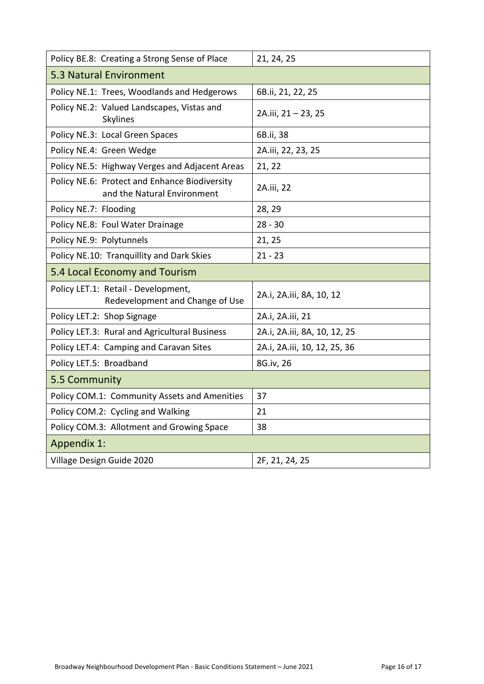| Policy BE.8: Creating a Strong Sense of Place                                | 21, 24, 25                   |  |
|------------------------------------------------------------------------------|------------------------------|--|
| 5.3 Natural Environment                                                      |                              |  |
| Policy NE.1: Trees, Woodlands and Hedgerows                                  | 6B.ii, 21, 22, 25            |  |
| Policy NE.2: Valued Landscapes, Vistas and<br>Skylines                       | 2A.iii, 21 - 23, 25          |  |
| Policy NE.3: Local Green Spaces                                              | 6B.ii, 38                    |  |
| Policy NE.4: Green Wedge                                                     | 2A.iii, 22, 23, 25           |  |
| Policy NE.5: Highway Verges and Adjacent Areas                               | 21, 22                       |  |
| Policy NE.6: Protect and Enhance Biodiversity<br>and the Natural Environment | 2A.iii, 22                   |  |
| Policy NE.7: Flooding                                                        | 28, 29                       |  |
| Policy NE.8: Foul Water Drainage                                             | $28 - 30$                    |  |
| Policy NE.9: Polytunnels                                                     | 21, 25                       |  |
| Policy NE.10: Tranquillity and Dark Skies                                    | $21 - 23$                    |  |
| 5.4 Local Economy and Tourism                                                |                              |  |
| Policy LET.1: Retail - Development,<br>Redevelopment and Change of Use       | 2A.i, 2A.iii, 8A, 10, 12     |  |
| Policy LET.2: Shop Signage                                                   | 2A.i, 2A.iii, 21             |  |
| Policy LET.3: Rural and Agricultural Business                                | 2A.i, 2A.iii, 8A, 10, 12, 25 |  |
| Policy LET.4: Camping and Caravan Sites                                      | 2A.i, 2A.iii, 10, 12, 25, 36 |  |
| Policy LET.5: Broadband                                                      | 8G.iv, 26                    |  |
| 5.5 Community                                                                |                              |  |
| Policy COM.1: Community Assets and Amenities                                 | 37                           |  |
| Policy COM.2: Cycling and Walking                                            | 21                           |  |
| Policy COM.3: Allotment and Growing Space                                    | 38                           |  |
| Appendix 1:                                                                  |                              |  |
| Village Design Guide 2020                                                    | 2F, 21, 24, 25               |  |